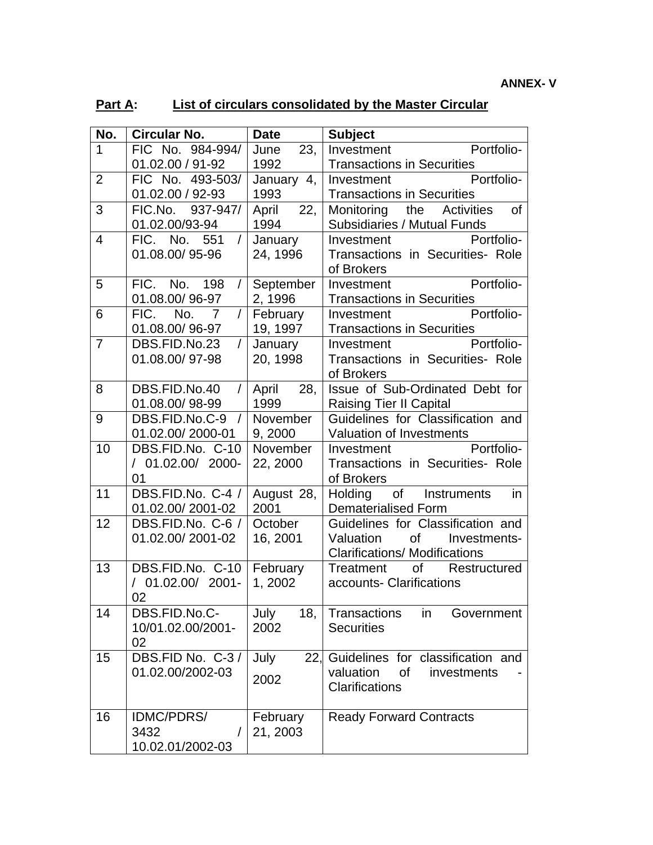| No.            | <b>Circular No.</b>                      | <b>Date</b>                | <b>Subject</b>                                               |
|----------------|------------------------------------------|----------------------------|--------------------------------------------------------------|
| $\mathbf{1}$   | FIC No. 984-994/                         | 23,<br>June                | Portfolio-<br>Investment                                     |
|                | 01.02.00 / 91-92                         | 1992                       | <b>Transactions in Securities</b>                            |
| 2              | FIC No. 493-503/                         | January 4,                 | Portfolio-<br>Investment                                     |
|                | 01.02.00 / 92-93                         | 1993                       | <b>Transactions in Securities</b>                            |
| 3              | FIC.No. 937-947/                         | $\overline{22}$ ,<br>April | <b>of</b><br>Monitoring<br>the Activities                    |
|                | 01.02.00/93-94                           | 1994                       | Subsidiaries / Mutual Funds                                  |
| $\overline{4}$ | FIC. No.<br>551<br>$\sqrt{ }$            | January                    | Portfolio-<br>Investment                                     |
|                | 01.08.00/95-96                           | 24, 1996                   | Transactions in Securities- Role                             |
|                |                                          |                            | of Brokers                                                   |
| 5              | FIC. No. 198<br>$\sqrt{2}$               | September                  | Portfolio-<br>Investment                                     |
|                | 01.08.00/96-97                           | 2, 1996                    | <b>Transactions in Securities</b>                            |
| 6              | FIC. No.<br>$\overline{7}$<br>$\sqrt{2}$ | February                   | Portfolio-<br>Investment                                     |
|                | 01.08.00/96-97                           | 19, 1997                   | <b>Transactions in Securities</b>                            |
| $\overline{7}$ | DBS.FID.No.23<br>$\sqrt{2}$              | January                    | Portfolio-<br>Investment                                     |
|                | 01.08.00/97-98                           | 20, 1998                   | Transactions in Securities- Role                             |
|                |                                          |                            | of Brokers                                                   |
| 8              | DBS.FID.No.40<br>$\sqrt{2}$              | April 28,                  | Issue of Sub-Ordinated Debt for                              |
|                | 01.08.00/98-99                           | 1999                       | <b>Raising Tier II Capital</b>                               |
| 9              | DBS.FID.No.C-9 $/$                       | November                   | Guidelines for Classification and                            |
|                | 01.02.00/2000-01                         | 9,2000                     | Valuation of Investments                                     |
| 10             | DBS.FID.No. C-10                         | November                   | Portfolio-<br>Investment                                     |
|                | $/ 01.02.00 / 2000 -$                    | 22, 2000                   | Transactions in Securities- Role                             |
|                | 01                                       |                            | of Brokers                                                   |
| 11             | DBS.FID.No. C-4 /                        | August 28,                 | Holding of Instruments<br>in in                              |
|                | 01.02.00/2001-02                         | 2001                       | <b>Dematerialised Form</b>                                   |
| 12             | DBS.FID.No. C-6 /                        | October                    | Guidelines for Classification and                            |
|                | 01.02.00/2001-02                         | 16, 2001                   | Valuation<br>of the control<br>Investments-                  |
|                |                                          |                            | <b>Clarifications/ Modifications</b>                         |
| 13             | DBS.FID.No. C-10                         | February                   | Treatment of Restructured                                    |
|                | $/$ 01.02.00/ 2001-                      | 1, 2002                    | accounts- Clarifications                                     |
| 14             | 02<br>DBS.FID.No.C-                      |                            |                                                              |
|                | 10/01.02.00/2001-                        | July<br>18,<br>2002        | <b>Transactions</b><br>in<br>Government<br><b>Securities</b> |
|                |                                          |                            |                                                              |
| 15             | 02<br>DBS.FID No. C-3 /                  | July<br>22,                | Guidelines for classification and                            |
|                | 01.02.00/2002-03                         |                            | valuation<br>οf<br>investments                               |
|                |                                          | 2002                       | Clarifications                                               |
|                |                                          |                            |                                                              |
| 16             | IDMC/PDRS/                               | February                   | <b>Ready Forward Contracts</b>                               |
|                | 3432                                     | 21, 2003                   |                                                              |
|                | 10.02.01/2002-03                         |                            |                                                              |

**Part A:** List of circulars consolidated by the Master Circular